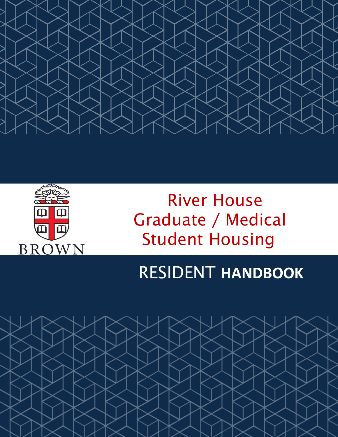



# River House Graduate / Medical Student Housing

# RESIDENT **HANDBOOK**

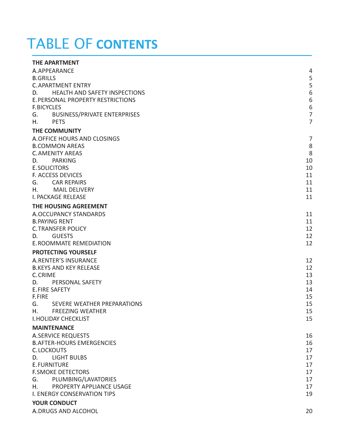# TABLE OF CONTENTS

| <b>THE APARTMENT</b>                       |                  |  |  |  |  |  |  |
|--------------------------------------------|------------------|--|--|--|--|--|--|
| A.APPEARANCE                               | 4                |  |  |  |  |  |  |
| <b>B.GRILLS</b>                            |                  |  |  |  |  |  |  |
| <b>C. APARTMENT ENTRY</b>                  | 5                |  |  |  |  |  |  |
| <b>HEALTH AND SAFETY INSPECTIONS</b><br>D. | $\,$ 6 $\,$      |  |  |  |  |  |  |
| E. PERSONAL PROPERTY RESTRICTIONS          | $\,$ 6 $\,$      |  |  |  |  |  |  |
| <b>F. BICYCLES</b>                         | $\boldsymbol{6}$ |  |  |  |  |  |  |
| G.<br><b>BUSINESS/PRIVATE ENTERPRISES</b>  | $\overline{7}$   |  |  |  |  |  |  |
| <b>PETS</b><br>Η.                          | $\overline{7}$   |  |  |  |  |  |  |
| THE COMMUNITY                              |                  |  |  |  |  |  |  |
| A.OFFICE HOURS AND CLOSINGS                | $\overline{7}$   |  |  |  |  |  |  |
| <b>B.COMMON AREAS</b>                      | $\,8\,$          |  |  |  |  |  |  |
| <b>C. AMENITY AREAS</b>                    | 8                |  |  |  |  |  |  |
| <b>PARKING</b><br>D.                       | 10               |  |  |  |  |  |  |
| <b>E.SOLICITORS</b>                        | 10               |  |  |  |  |  |  |
| F. ACCESS DEVICES                          | 11               |  |  |  |  |  |  |
| G.<br><b>CAR REPAIRS</b>                   | 11               |  |  |  |  |  |  |
| <b>MAIL DELIVERY</b><br>Н.                 | 11               |  |  |  |  |  |  |
| <b>I. PACKAGE RELEASE</b>                  | 11               |  |  |  |  |  |  |
| THE HOUSING AGREEMENT                      |                  |  |  |  |  |  |  |
| <b>A.OCCUPANCY STANDARDS</b>               | 11               |  |  |  |  |  |  |
| <b>B.PAYING RENT</b>                       | 11               |  |  |  |  |  |  |
| <b>C. TRANSFER POLICY</b>                  | 12               |  |  |  |  |  |  |
| <b>GUESTS</b><br>D.                        | 12               |  |  |  |  |  |  |
| <b>E. ROOMMATE REMEDIATION</b>             | 12               |  |  |  |  |  |  |
| <b>PROTECTING YOURSELF</b>                 |                  |  |  |  |  |  |  |
| <b>A.RENTER'S INSURANCE</b>                | 12               |  |  |  |  |  |  |
| <b>B.KEYS AND KEY RELEASE</b>              | 12               |  |  |  |  |  |  |
| C. CRIME                                   | 13               |  |  |  |  |  |  |
| PERSONAL SAFETY<br>D.                      | 13               |  |  |  |  |  |  |
| <b>E.FIRE SAFETY</b>                       | 14               |  |  |  |  |  |  |
| F.FIRE                                     | 15               |  |  |  |  |  |  |
| SEVERE WEATHER PREPARATIONS<br>G.          | 15               |  |  |  |  |  |  |
| Н.<br><b>FREEZING WEATHER</b>              | 15               |  |  |  |  |  |  |
| <b>I. HOLIDAY CHECKLIST</b>                | 15               |  |  |  |  |  |  |
| <b>MAINTENANCE</b>                         |                  |  |  |  |  |  |  |
| <b>A.SERVICE REQUESTS</b>                  | 16               |  |  |  |  |  |  |
| <b>B.AFTER-HOURS EMERGENCIES</b>           | 16               |  |  |  |  |  |  |
| <b>C. LOCKOUTS</b>                         | 17               |  |  |  |  |  |  |
| <b>LIGHT BULBS</b><br>D.                   | 17               |  |  |  |  |  |  |
| <b>E. FURNITURE</b>                        | 17               |  |  |  |  |  |  |
| <b>F. SMOKE DETECTORS</b>                  | 17               |  |  |  |  |  |  |
| G. PLUMBING/LAVATORIES                     | 17               |  |  |  |  |  |  |
| PROPERTY APPLIANCE USAGE<br>H.,            | 17               |  |  |  |  |  |  |
| <b>I. ENERGY CONSERVATION TIPS</b>         | 19               |  |  |  |  |  |  |
| <b>YOUR CONDUCT</b>                        |                  |  |  |  |  |  |  |
| A.DRUGS AND ALCOHOL                        | 20               |  |  |  |  |  |  |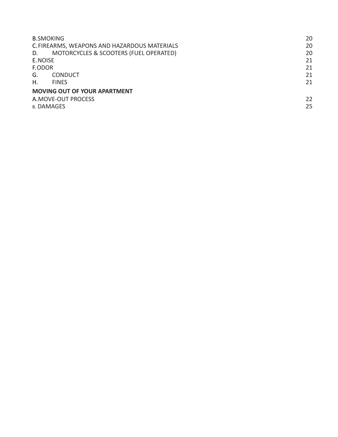| <b>B.SMOKING</b>                             | 20 |  |  |  |  |
|----------------------------------------------|----|--|--|--|--|
| C. FIREARMS, WEAPONS AND HAZARDOUS MATERIALS | 20 |  |  |  |  |
| MOTORCYCLES & SCOOTERS (FUEL OPERATED)<br>D. | 20 |  |  |  |  |
| E. NOISE                                     | 21 |  |  |  |  |
| F.ODOR                                       | 21 |  |  |  |  |
| <b>CONDUCT</b><br>G.                         | 21 |  |  |  |  |
| Η.<br><b>FINFS</b>                           | 21 |  |  |  |  |
| <b>MOVING OUT OF YOUR APARTMENT</b>          |    |  |  |  |  |
| A.MOVE-OUT PROCESS                           |    |  |  |  |  |
| B. DAMAGES                                   |    |  |  |  |  |
|                                              |    |  |  |  |  |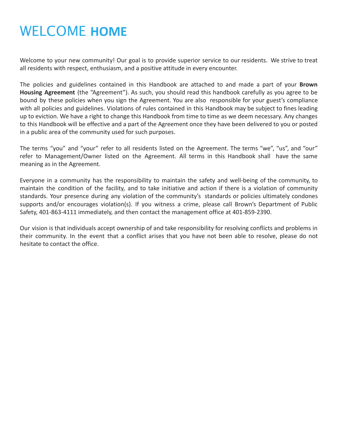# WELCOME **HOME**

Welcome to your new community! Our goal is to provide superior service to our residents. We strive to treat all residents with respect, enthusiasm, and a positive attitude in every encounter.

The policies and guidelines contained in this Handbook are attached to and made a part of your **Brown Housing Agreement** (the "Agreement"). As such, you should read this handbook carefully as you agree to be bound by these policies when you sign the Agreement. You are also responsible for your guest's compliance with all policies and guidelines. Violations of rules contained in this Handbook may be subject to fines leading up to eviction. We have a right to change this Handbook from time to time as we deem necessary. Any changes to this Handbook will be effective and a part of the Agreement once they have been delivered to you or posted in a public area of the community used for such purposes.

The terms "you" and "your" refer to all residents listed on the Agreement. The terms "we", "us", and "our" refer to Management/Owner listed on the Agreement. All terms in this Handbook shall have the same meaning as in the Agreement.

Everyone in a community has the responsibility to maintain the safety and well-being of the community, to maintain the condition of the facility, and to take initiative and action if there is a violation of community standards. Your presence during any violation of the community's standards or policies ultimately condones supports and/or encourages violation(s). If you witness a crime, please call Brown's Department of Public Safety, 401-863-4111 immediately, and then contact the management office at 401-859-2390.

Our vision is that individuals accept ownership of and take responsibility for resolving conflicts and problems in their community. In the event that a conflict arises that you have not been able to resolve, please do not hesitate to contact the office.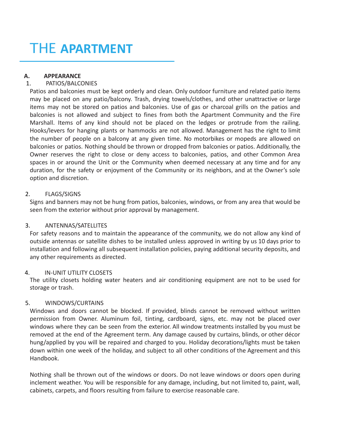# THE **APARTMENT**

# <span id="page-4-0"></span>**A. APPEARANCE**

# 1. PATIOS/BALCONIES

Patios and balconies must be kept orderly and clean. Only outdoor furniture and related patio items may be placed on any patio/balcony. Trash, drying towels/clothes, and other unattractive or large items may not be stored on patios and balconies. Use of gas or charcoal grills on the patios and balconies is not allowed and subject to fines from both the Apartment Community and the Fire Marshall. Items of any kind should not be placed on the ledges or protrude from the railing. Hooks/levers for hanging plants or hammocks are not allowed. Management has the right to limit the number of people on a balcony at any given time. No motorbikes or mopeds are allowed on balconies or patios. Nothing should be thrown or dropped from balconies or patios. Additionally, the Owner reserves the right to close or deny access to balconies, patios, and other Common Area spaces in or around the Unit or the Community when deemed necessary at any time and for any duration, for the safety or enjoyment of the Community or its neighbors, and at the Owner's sole option and discretion.

# 2. FLAGS/SIGNS

Signs and banners may not be hung from patios, balconies, windows, or from any area that would be seen from the exterior without prior approval by management.

#### 3. ANTENNAS/SATELLITES

For safety reasons and to maintain the appearance of the community, we do not allow any kind of outside antennas or satellite dishes to be installed unless approved in writing by us 10 days prior to installation and following all subsequent installation policies, paying additional security deposits, and any other requirements as directed.

#### 4. IN-UNIT UTILITY CLOSETS

The utility closets holding water heaters and air conditioning equipment are not to be used for storage or trash.

# 5. WINDOWS/CURTAINS

Windows and doors cannot be blocked. If provided, blinds cannot be removed without written permission from Owner. Aluminum foil, tinting, cardboard, signs, etc. may not be placed over windows where they can be seen from the exterior. All window treatments installed by you must be removed at the end of the Agreement term. Any damage caused by curtains, blinds, or other décor hung/applied by you will be repaired and charged to you. Holiday decorations/lights must be taken down within one week of the holiday, and subject to all other conditions of the Agreement and this Handbook.

Nothing shall be thrown out of the windows or doors. Do not leave windows or doors open during inclement weather. You will be responsible for any damage, including, but not limited to, paint, wall, cabinets, carpets, and floors resulting from failure to exercise reasonable care.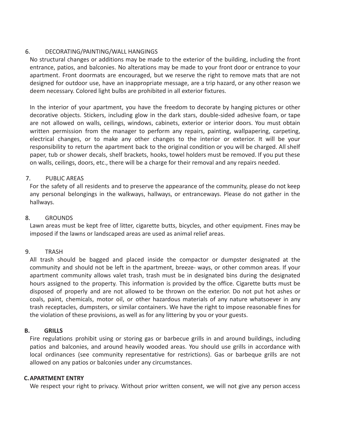#### 6. DECORATING/PAINTING/WALL HANGINGS

No structural changes or additions may be made to the exterior of the building, including the front entrance, patios, and balconies. No alterations may be made to your front door or entrance to your apartment. Front doormats are encouraged, but we reserve the right to remove mats that are not designed for outdoor use, have an inappropriate message, are a trip hazard, or any other reason we deem necessary. Colored light bulbs are prohibited in all exterior fixtures.

In the interior of your apartment, you have the freedom to decorate by hanging pictures or other decorative objects. Stickers, including glow in the dark stars, double-sided adhesive foam, or tape are not allowed on walls, ceilings, windows, cabinets, exterior or interior doors. You must obtain written permission from the manager to perform any repairs, painting, wallpapering, carpeting, electrical changes, or to make any other changes to the interior or exterior. It will be your responsibility to return the apartment back to the original condition or you will be charged. All shelf paper, tub or shower decals, shelf brackets, hooks, towel holders must be removed. If you put these on walls, ceilings, doors, etc., there will be a charge for their removal and any repairs needed.

# 7. PUBLIC AREAS

For the safety of all residents and to preserve the appearance of the community, please do not keep any personal belongings in the walkways, hallways, or entranceways. Please do not gather in the hallways.

# 8. GROUNDS

Lawn areas must be kept free of litter, cigarette butts, bicycles, and other equipment. Fines may be imposed if the lawns or landscaped areas are used as animal relief areas.

#### 9. TRASH

All trash should be bagged and placed inside the compactor or dumpster designated at the community and should not be left in the apartment, breeze- ways, or other common areas. If your apartment community allows valet trash, trash must be in designated bins during the designated hours assigned to the property. This information is provided by the office. Cigarette butts must be disposed of properly and are not allowed to be thrown on the exterior. Do not put hot ashes or coals, paint, chemicals, motor oil, or other hazardous materials of any nature whatsoever in any trash receptacles, dumpsters, or similar containers. We have the right to impose reasonable fines for the violation of these provisions, as well as for any littering by you or your guests.

#### <span id="page-5-0"></span>**B. GRILLS**

Fire regulations prohibit using or storing gas or barbecue grills in and around buildings, including patios and balconies, and around heavily wooded areas. You should use grills in accordance with local ordinances (see community representative for restrictions). Gas or barbeque grills are not allowed on any patios or balconies under any circumstances.

#### <span id="page-5-1"></span>**C.APARTMENT ENTRY**

We respect your right to privacy. Without prior written consent, we will not give any person access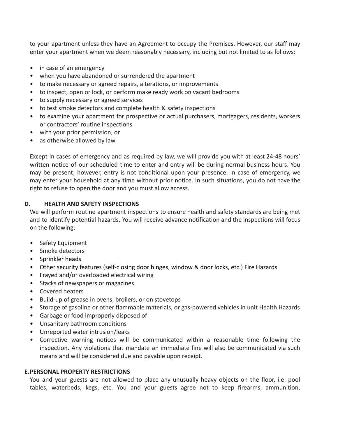to your apartment unless they have an Agreement to occupy the Premises. However, our staff may enter your apartment when we deem reasonably necessary, including but not limited to as follows:

- in case of an emergency
- when you have abandoned or surrendered the apartment
- to make necessary or agreed repairs, alterations, or improvements
- to inspect, open or lock, or perform make ready work on vacant bedrooms
- to supply necessary or agreed services
- to test smoke detectors and complete health & safety inspections
- to examine your apartment for prospective or actual purchasers, mortgagers, residents, workers or contractors' routine inspections
- with your prior permission, or
- as otherwise allowed by law

Except in cases of emergency and as required by law, we will provide you with at least 24-48 hours' written notice of our scheduled time to enter and entry will be during normal business hours. You may be present; however, entry is not conditional upon your presence. In case of emergency, we may enter your household at any time without prior notice. In such situations, you do not have the right to refuse to open the door and you must allow access.

#### <span id="page-6-0"></span>**D. HEALTH AND SAFETY INSPECTIONS**

We will perform routine apartment inspections to ensure health and safety standards are being met and to identify potential hazards. You will receive advance notification and the inspections will focus on the following:

- Safety Equipment
- Smoke detectors
- Sprinkler heads
- Other security features (self-closing door hinges, window & door locks, etc.) Fire Hazards
- Frayed and/or overloaded electrical wiring
- Stacks of newspapers or magazines
- Covered heaters
- Build-up of grease in ovens, broilers, or on stovetops
- Storage of gasoline or other flammable materials, or gas-powered vehicles in unit Health Hazards
- Garbage or food improperly disposed of
- Unsanitary bathroom conditions
- Unreported water intrusion/leaks
- Corrective warning notices will be communicated within a reasonable time following the inspection. Any violations that mandate an immediate fine will also be communicated via such means and will be considered due and payable upon receipt.

#### <span id="page-6-1"></span>**E.PERSONAL PROPERTY RESTRICTIONS**

You and your guests are not allowed to place any unusually heavy objects on the floor, i.e. pool tables, waterbeds, kegs, etc. You and your guests agree not to keep firearms, ammunition,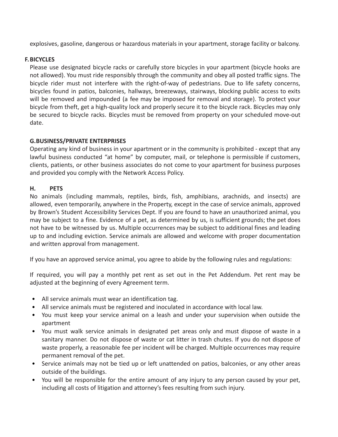explosives, gasoline, dangerous or hazardous materials in your apartment, storage facility or balcony.

# <span id="page-7-0"></span>**F.BICYCLES**

Please use designated bicycle racks or carefully store bicycles in your apartment (bicycle hooks are not allowed). You must ride responsibly through the community and obey all posted traffic signs. The bicycle rider must not interfere with the right-of-way of pedestrians. Due to life safety concerns, bicycles found in patios, balconies, hallways, breezeways, stairways, blocking public access to exits will be removed and impounded (a fee may be imposed for removal and storage). To protect your bicycle from theft, get a high-quality lock and properly secure it to the bicycle rack. Bicycles may only be secured to bicycle racks. Bicycles must be removed from property on your scheduled move-out date.

# <span id="page-7-1"></span>**G.BUSINESS/PRIVATE ENTERPRISES**

Operating any kind of business in your apartment or in the community is prohibited - except that any lawful business conducted "at home" by computer, mail, or telephone is permissible if customers, clients, patients, or other business associates do not come to your apartment for business purposes and provided you comply with the Network Access Policy.

# <span id="page-7-2"></span>**H. PETS**

No animals (including mammals, reptiles, birds, fish, amphibians, arachnids, and insects) are allowed, even temporarily, anywhere in the Property, except in the case of service animals, approved by Brown's Student Accessibility Services Dept. If you are found to have an unauthorized animal, you may be subject to a fine. Evidence of a pet, as determined by us, is sufficient grounds; the pet does not have to be witnessed by us. Multiple occurrences may be subject to additional fines and leading up to and including eviction. Service animals are allowed and welcome with proper documentation and written approval from management.

If you have an approved service animal, you agree to abide by the following rules and regulations:

If required, you will pay a monthly pet rent as set out in the Pet Addendum. Pet rent may be adjusted at the beginning of every Agreement term.

- All service animals must wear an identification tag.
- All service animals must be registered and inoculated in accordance with local law.
- You must keep your service animal on a leash and under your supervision when outside the apartment
- You must walk service animals in designated pet areas only and must dispose of waste in a sanitary manner. Do not dispose of waste or cat litter in trash chutes. If you do not dispose of waste properly, a reasonable fee per incident will be charged. Multiple occurrences may require permanent removal of the pet.
- Service animals may not be tied up or left unattended on patios, balconies, or any other areas outside of the buildings.
- You will be responsible for the entire amount of any injury to any person caused by your pet, including all costs of litigation and attorney's fees resulting from such injury.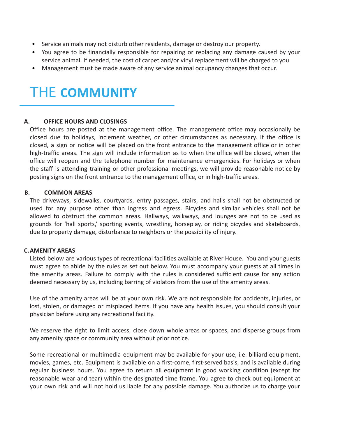- Service animals may not disturb other residents, damage or destroy our property.
- You agree to be financially responsible for repairing or replacing any damage caused by your service animal. If needed, the cost of carpet and/or vinyl replacement will be charged to you
- Management must be made aware of any service animal occupancy changes that occur.

# THE **COMMUNITY**

#### <span id="page-8-0"></span>**A. OFFICE HOURS AND CLOSINGS**

Office hours are posted at the management office. The management office may occasionally be closed due to holidays, inclement weather, or other circumstances as necessary. If the office is closed, a sign or notice will be placed on the front entrance to the management office or in other high-traffic areas. The sign will include information as to when the office will be closed, when the office will reopen and the telephone number for maintenance emergencies. For holidays or when the staff is attending training or other professional meetings, we will provide reasonable notice by posting signs on the front entrance to the management office, or in high-traffic areas.

#### <span id="page-8-1"></span>**B. COMMON AREAS**

The driveways, sidewalks, courtyards, entry passages, stairs, and halls shall not be obstructed or used for any purpose other than ingress and egress. Bicycles and similar vehicles shall not be allowed to obstruct the common areas. Hallways, walkways, and lounges are not to be used as grounds for 'hall sports,' sporting events, wrestling, horseplay, or riding bicycles and skateboards, due to property damage, disturbance to neighbors or the possibility of injury.

#### <span id="page-8-2"></span>**C.AMENITY AREAS**

Listed below are various types of recreational facilities available at River House. You and your guests must agree to abide by the rules as set out below. You must accompany your guests at all times in the amenity areas. Failure to comply with the rules is considered sufficient cause for any action deemed necessary by us, including barring of violators from the use of the amenity areas.

Use of the amenity areas will be at your own risk. We are not responsible for accidents, injuries, or lost, stolen, or damaged or misplaced items. If you have any health issues, you should consult your physician before using any recreational facility.

We reserve the right to limit access, close down whole areas or spaces, and disperse groups from any amenity space or community area without prior notice.

Some recreational or multimedia equipment may be available for your use, i.e. billiard equipment, movies, games, etc. Equipment is available on a first-come, first-served basis, and is available during regular business hours. You agree to return all equipment in good working condition (except for reasonable wear and tear) within the designated time frame. You agree to check out equipment at your own risk and will not hold us liable for any possible damage. You authorize us to charge your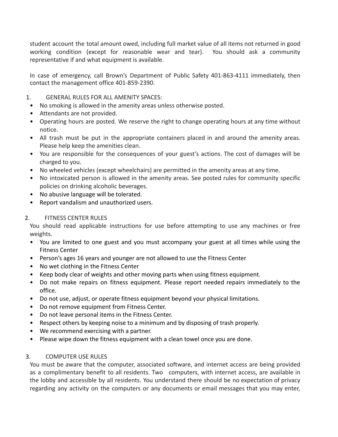student account the total amount owed, including full market value of all items not returned in good working condition (except for reasonable wear and tear). You should ask a community representative if and what equipment is available.

In case of emergency, call Brown's Department of Public Safety 401-863-4111 immediately, then contact the management office 401-859-2390.

# 1. GENERAL RULES FOR ALL AMENITY SPACES:

- No smoking is allowed in the amenity areas unless otherwise posted.
- Attendants are not provided.
- Operating hours are posted. We reserve the right to change operating hours at any time without notice.
- All trash must be put in the appropriate containers placed in and around the amenity areas. Please help keep the amenities clean.
- You are responsible for the consequences of your guest's actions. The cost of damages will be charged to you.
- No wheeled vehicles (except wheelchairs) are permitted in the amenity areas at any time.
- No intoxicated person is allowed in the amenity areas. See posted rules for community specific policies on drinking alcoholic beverages.
- No abusive language will be tolerated.
- Report vandalism and unauthorized users.

# 2. FITNESS CENTER RULES

You should read applicable instructions for use before attempting to use any machines or free weights.

- You are limited to one guest and you must accompany your guest at all times while using the Fitness Center
- Person's ages 16 years and younger are not allowed to use the Fitness Center
- No wet clothing in the Fitness Center
- Keep body clear of weights and other moving parts when using fitness equipment.
- Do not make repairs on fitness equipment. Please report needed repairs immediately to the office.
- Do not use, adjust, or operate fitness equipment beyond your physical limitations.
- Do not remove equipment from Fitness Center.
- Do not leave personal items in the Fitness Center.
- Respect others by keeping noise to a minimum and by disposing of trash properly.
- We recommend exercising with a partner.
- Please wipe down the fitness equipment with a clean towel once you are done.

# 3. COMPUTER USE RULES

You must be aware that the computer, associated software, and internet access are being provided as a complimentary benefit to all residents. Two computers, with internet access, are available in the lobby and accessible by all residents. You understand there should be no expectation of privacy regarding any activity on the computers or any documents or email messages that you may enter,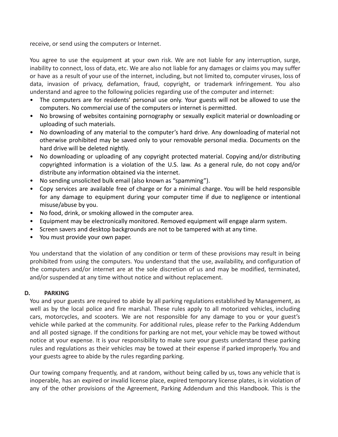receive, or send using the computers or Internet.

You agree to use the equipment at your own risk. We are not liable for any interruption, surge, inability to connect, loss of data, etc. We are also not liable for any damages or claims you may suffer or have as a result of your use of the internet, including, but not limited to, computer viruses, loss of data, invasion of privacy, defamation, fraud, copyright, or trademark infringement. You also understand and agree to the following policies regarding use of the computer and internet:

- The computers are for residents' personal use only. Your guests will not be allowed to use the computers. No commercial use of the computers or internet is permitted.
- No browsing of websites containing pornography or sexually explicit material or downloading or uploading of such materials.
- No downloading of any material to the computer's hard drive. Any downloading of material not otherwise prohibited may be saved only to your removable personal media. Documents on the hard drive will be deleted nightly.
- No downloading or uploading of any copyright protected material. Copying and/or distributing copyrighted information is a violation of the U.S. law. As a general rule, do not copy and/or distribute any information obtained via the internet.
- No sending unsolicited bulk email (also known as "spamming").
- Copy services are available free of charge or for a minimal charge. You will be held responsible for any damage to equipment during your computer time if due to negligence or intentional misuse/abuse by you.
- No food, drink, or smoking allowed in the computer area.
- Equipment may be electronically monitored. Removed equipment will engage alarm system.
- Screen savers and desktop backgrounds are not to be tampered with at any time.
- You must provide your own paper.

You understand that the violation of any condition or term of these provisions may result in being prohibited from using the computers. You understand that the use, availability, and configuration of the computers and/or internet are at the sole discretion of us and may be modified, terminated, and/or suspended at any time without notice and without replacement.

#### <span id="page-10-0"></span>**D. PARKING**

You and your guests are required to abide by all parking regulations established by Management, as well as by the local police and fire marshal. These rules apply to all motorized vehicles, including cars, motorcycles, and scooters. We are not responsible for any damage to you or your guest's vehicle while parked at the community. For additional rules, please refer to the Parking Addendum and all posted signage. If the conditions for parking are not met, your vehicle may be towed without notice at your expense. It is your responsibility to make sure your guests understand these parking rules and regulations as their vehicles may be towed at their expense if parked improperly. You and your guests agree to abide by the rules regarding parking.

Our towing company frequently, and at random, without being called by us, tows any vehicle that is inoperable, has an expired or invalid license place, expired temporary license plates, is in violation of any of the other provisions of the Agreement, Parking Addendum and this Handbook. This is the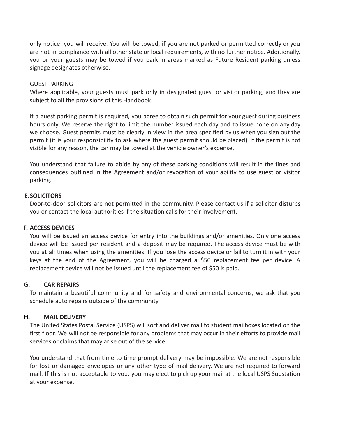only notice you will receive. You will be towed, if you are not parked or permitted correctly or you are not in compliance with all other state or local requirements, with no further notice. Additionally, you or your guests may be towed if you park in areas marked as Future Resident parking unless signage designates otherwise.

#### GUEST PARKING

Where applicable, your guests must park only in designated guest or visitor parking, and they are subject to all the provisions of this Handbook.

If a guest parking permit is required, you agree to obtain such permit for your guest during business hours only. We reserve the right to limit the number issued each day and to issue none on any day we choose. Guest permits must be clearly in view in the area specified by us when you sign out the permit (it is your responsibility to ask where the guest permit should be placed). If the permit is not visible for any reason, the car may be towed at the vehicle owner's expense.

You understand that failure to abide by any of these parking conditions will result in the fines and consequences outlined in the Agreement and/or revocation of your ability to use guest or visitor parking.

#### <span id="page-11-0"></span>**E.SOLICITORS**

Door-to-door solicitors are not permitted in the community. Please contact us if a solicitor disturbs you or contact the local authorities if the situation calls for their involvement.

#### <span id="page-11-1"></span>**F. ACCESS DEVICES**

You will be issued an access device for entry into the buildings and/or amenities. Only one access device will be issued per resident and a deposit may be required. The access device must be with you at all times when using the amenities. If you lose the access device or fail to turn it in with your keys at the end of the Agreement, you will be charged a \$50 replacement fee per device. A replacement device will not be issued until the replacement fee of \$50 is paid.

#### <span id="page-11-2"></span>**G. CAR REPAIRS**

<span id="page-11-3"></span>To maintain a beautiful community and for safety and environmental concerns, we ask that you schedule auto repairs outside of the community.

#### **H. MAIL DELIVERY**

The United States Postal Service (USPS) will sort and deliver mail to student mailboxes located on the first floor. We will not be responsible for any problems that may occur in their efforts to provide mail services or claims that may arise out of the service.

You understand that from time to time prompt delivery may be impossible. We are not responsible for lost or damaged envelopes or any other type of mail delivery. We are not required to forward mail. If this is not acceptable to you, you may elect to pick up your mail at the local USPS Substation at your expense.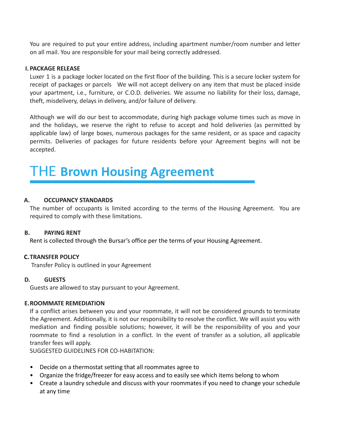You are required to put your entire address, including apartment number/room number and letter on all mail. You are responsible for your mail being correctly addressed.

#### <span id="page-12-0"></span>**I. PACKAGE RELEASE**

Luxer 1 is a package locker located on the first floor of the building. This is a secure locker system for receipt of packages or parcels We will not accept delivery on any item that must be placed inside your apartment, i.e., furniture, or C.O.D. deliveries. We assume no liability for their loss, damage, theft, misdelivery, delays in delivery, and/or failure of delivery.

Although we will do our best to accommodate, during high package volume times such as move in and the holidays, we reserve the right to refuse to accept and hold deliveries (as permitted by applicable law) of large boxes, numerous packages for the same resident, or as space and capacity permits. Deliveries of packages for future residents before your Agreement begins will not be accepted.

# THE **Brown Housing Agreement**

# <span id="page-12-1"></span>**A. OCCUPANCY STANDARDS**

The number of occupants is limited according to the terms of the Housing Agreement. You are required to comply with these limitations.

#### <span id="page-12-2"></span>**B. PAYING RENT**

Rent is collected through the Bursar's office per the terms of your Housing Agreement.

#### <span id="page-12-3"></span>**C.TRANSFER POLICY**

Transfer Policy is outlined in your Agreement

#### <span id="page-12-4"></span>**D. GUESTS**

Guests are allowed to stay pursuant to your Agreement.

#### <span id="page-12-5"></span>**E.ROOMMATE REMEDIATION**

If a conflict arises between you and your roommate, it will not be considered grounds to terminate the Agreement. Additionally, it is not our responsibility to resolve the conflict. We will assist you with mediation and finding possible solutions; however, it will be the responsibility of you and your roommate to find a resolution in a conflict. In the event of transfer as a solution, all applicable transfer fees will apply.

SUGGESTED GUIDELINES FOR CO-HABITATION:

- Decide on a thermostat setting that all roommates agree to
- Organize the fridge/freezer for easy access and to easily see which items belong to whom
- Create a laundry schedule and discuss with your roommates if you need to change your schedule at any time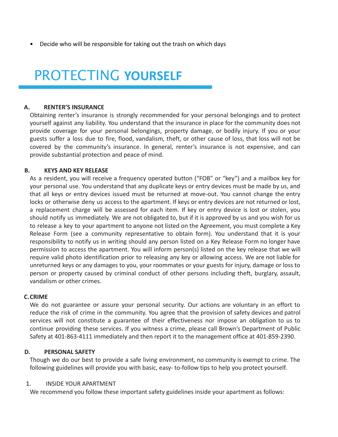• Decide who will be responsible for taking out the trash on which days

# PROTECTING **YOURSELF**

#### <span id="page-13-0"></span>**A. RENTER'S INSURANCE**

Obtaining renter's insurance is strongly recommended for your personal belongings and to protect yourself against any liability. You understand that the insurance in place for the community does not provide coverage for your personal belongings, property damage, or bodily injury. If you or your guests suffer a loss due to fire, flood, vandalism, theft, or other cause of loss, that loss will not be covered by the community's insurance. In general, renter's insurance is not expensive, and can provide substantial protection and peace of mind.

#### <span id="page-13-1"></span>**B. KEYS AND KEY RELEASE**

As a resident, you will receive a frequency operated button ("FOB" or "key") and a mailbox key for your personal use. You understand that any duplicate keys or entry devices must be made by us, and that all keys or entry devices issued must be returned at move-out. You cannot change the entry locks or otherwise deny us access to the apartment. If keys or entry devices are not returned or lost, a replacement charge will be assessed for each item. If key or entry device is lost or stolen, you should notify us immediately. We are not obligated to, but if it is approved by us and you wish for us to release a key to your apartment to anyone not listed on the Agreement, you must complete a Key Release Form (see a community representative to obtain form). You understand that it is your responsibility to notify us in writing should any person listed on a Key Release Form no longer have permission to access the apartment. You will inform person(s) listed on the key release that we will require valid photo identification prior to releasing any key or allowing access. We are not liable for unreturned keys or any damages to you, your roommates or your guests for injury, damage or loss to person or property caused by criminal conduct of other persons including theft, burglary, assault, vandalism or other crimes.

#### <span id="page-13-2"></span>**C.CRIME**

We do not guarantee or assure your personal security. Our actions are voluntary in an effort to reduce the risk of crime in the community. You agree that the provision of safety devices and patrol services will not constitute a guarantee of their effectiveness nor impose an obligation to us to continue providing these services. If you witness a crime, please call Brown's Department of Public Safety at 401-863-4111 immediately and then report it to the management office at 401-859-2390.

#### <span id="page-13-3"></span>**D. PERSONAL SAFETY**

Though we do our best to provide a safe living environment, no community is exempt to crime. The following guidelines will provide you with basic, easy- to-follow tips to help you protect yourself.

#### 1. INSIDE YOUR APARTMENT

We recommend you follow these important safety guidelines inside your apartment as follows: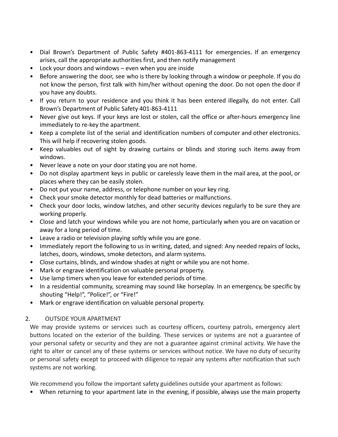- Dial Brown's Department of Public Safety #401-863-4111 for emergencies. If an emergency arises, call the appropriate authorities first, and then notify management
- Lock your doors and windows even when you are inside
- Before answering the door, see who is there by looking through a window or peephole. If you do not know the person, first talk with him/her without opening the door. Do not open the door if you have any doubts.
- If you return to your residence and you think it has been entered illegally, do not enter. Call Brown's Department of Public Safety 401-863-4111
- Never give out keys. If your keys are lost or stolen, call the office or after-hours emergency line immediately to re-key the apartment.
- Keep a complete list of the serial and identification numbers of computer and other electronics. This will help if recovering stolen goods.
- Keep valuables out of sight by drawing curtains or blinds and storing such items away from windows.
- Never leave a note on your door stating you are not home.
- Do not display apartment keys in public or carelessly leave them in the mail area, at the pool, or places where they can be easily stolen.
- Do not put your name, address, or telephone number on your key ring.
- Check your smoke detector monthly for dead batteries or malfunctions.
- Check your door locks, window latches, and other security devices regularly to be sure they are working properly.
- Close and latch your windows while you are not home, particularly when you are on vacation or away for a long period of time.
- Leave a radio or television playing softly while you are gone.
- Immediately report the following to us in writing, dated, and signed: Any needed repairs of locks, latches, doors, windows, smoke detectors, and alarm systems.
- Close curtains, blinds, and window shades at night or while you are not home.
- Mark or engrave identification on valuable personal property.
- Use lamp timers when you leave for extended periods of time.
- In a residential community, screaming may sound like horseplay. In an emergency, be specific by shouting "Help!", "Police!", or "Fire!"
- Mark or engrave identification on valuable personal property.

# 2. OUTSIDE YOUR APARTMENT

We may provide systems or services such as courtesy officers, courtesy patrols, emergency alert buttons located on the exterior of the building. These services or systems are not a guarantee of your personal safety or security and they are not a guarantee against criminal activity. We have the right to alter or cancel any of these systems or services without notice. We have no duty of security or personal safety except to proceed with diligence to repair any systems after notification that such systems are not working.

We recommend you follow the important safety guidelines outside your apartment as follows:

• When returning to your apartment late in the evening, if possible, always use the main property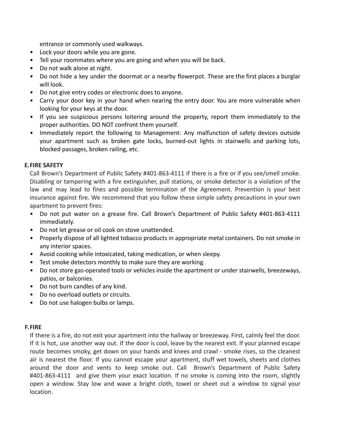entrance or commonly used walkways.

- Lock your doors while you are gone.
- Tell your roommates where you are going and when you will be back.
- Do not walk alone at night.
- Do not hide a key under the doormat or a nearby flowerpot. These are the first places a burglar will look.
- Do not give entry codes or electronic does to anyone.
- Carry your door key in your hand when nearing the entry door. You are more vulnerable when looking for your keys at the door.
- If you see suspicious persons loitering around the property, report them immediately to the proper authorities. DO NOT confront them yourself.
- Immediately report the following to Management: Any malfunction of safety devices outside your apartment such as broken gate locks, burned-out lights in stairwells and parking lots, blocked passages, broken railing, etc.

#### <span id="page-15-0"></span>**E.FIRE SAFETY**

Call Brown's Department of Public Safety #401-863-4111 if there is a fire or if you see/smell smoke. Disabling or tampering with a fire extinguisher, pull stations, or smoke detector is a violation of the law and may lead to fines and possible termination of the Agreement. Prevention is your best insurance against fire. We recommend that you follow these simple safety precautions in your own apartment to prevent fires:

- Do not put water on a grease fire. Call Brown's Department of Public Safety #401-863-4111 immediately.
- Do not let grease or oil cook on stove unattended.
- Properly dispose of all lighted tobacco products in appropriate metal containers. Do not smoke in any interior spaces.
- Avoid cooking while intoxicated, taking medication, or when sleepy.
- Test smoke detectors monthly to make sure they are working.
- Do not store gas-operated tools or vehicles inside the apartment or under stairwells, breezeways, patios, or balconies.
- Do not burn candles of any kind.
- Do no overload outlets or circuits.
- Do not use halogen bulbs or lamps.

#### <span id="page-15-1"></span>**F.FIRE**

If there is a fire, do not exit your apartment into the hallway or breezeway. First, calmly feel the door. If it is hot, use another way out. If the door is cool, leave by the nearest exit. If your planned escape route becomes smoky, get down on your hands and knees and crawl - smoke rises, so the cleanest air is nearest the floor. If you cannot escape your apartment, stuff wet towels, sheets and clothes around the door and vents to keep smoke out. Call Brown's Department of Public Safety #401-863-4111 and give them your exact location. If no smoke is coming into the room, slightly open a window. Stay low and wave a bright cloth, towel or sheet out a window to signal your location.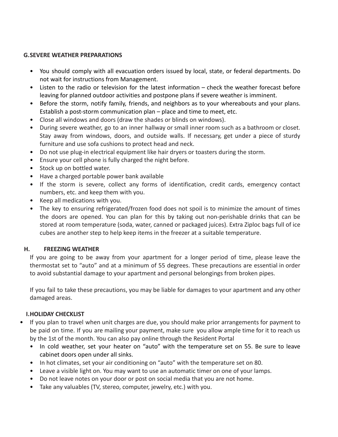#### <span id="page-16-0"></span>**G.SEVERE WEATHER PREPARATIONS**

- You should comply with all evacuation orders issued by local, state, or federal departments. Do not wait for instructions from Management.
- Listen to the radio or television for the latest information check the weather forecast before leaving for planned outdoor activities and postpone plans if severe weather is imminent.
- Before the storm, notify family, friends, and neighbors as to your whereabouts and your plans. Establish a post-storm communication plan – place and time to meet, etc.
- Close all windows and doors (draw the shades or blinds on windows).
- During severe weather, go to an inner hallway or small inner room such as a bathroom or closet. Stay away from windows, doors, and outside walls. If necessary, get under a piece of sturdy furniture and use sofa cushions to protect head and neck.
- Do not use plug-in electrical equipment like hair dryers or toasters during the storm.
- Ensure your cell phone is fully charged the night before.
- Stock up on bottled water.
- Have a charged portable power bank available
- If the storm is severe, collect any forms of identification, credit cards, emergency contact numbers, etc. and keep them with you.
- Keep all medications with you.
- The key to ensuring refrigerated/frozen food does not spoil is to minimize the amount of times the doors are opened. You can plan for this by taking out non-perishable drinks that can be stored at room temperature (soda, water, canned or packaged juices). Extra Ziploc bags full of ice cubes are another step to help keep items in the freezer at a suitable temperature.

# <span id="page-16-1"></span>**H. FREEZING WEATHER**

If you are going to be away from your apartment for a longer period of time, please leave the thermostat set to "auto" and at a minimum of 55 degrees. These precautions are essential in order to avoid substantial damage to your apartment and personal belongings from broken pipes.

If you fail to take these precautions, you may be liable for damages to your apartment and any other damaged areas.

# <span id="page-16-2"></span>**I.HOLIDAY CHECKLIST**

- If you plan to travel when unit charges are due, you should make prior arrangements for payment to be paid on time. If you are mailing your payment, make sure you allow ample time for it to reach us by the 1st of the month. You can also pay online through the Resident Portal
	- In cold weather, set your heater on "auto" with the temperature set on 55. Be sure to leave cabinet doors open under all sinks.
	- In hot climates, set your air conditioning on "auto" with the temperature set on 80.
	- Leave a visible light on. You may want to use an automatic timer on one of your lamps.
	- Do not leave notes on your door or post on social media that you are not home.
	- Take any valuables (TV, stereo, computer, jewelry, etc.) with you.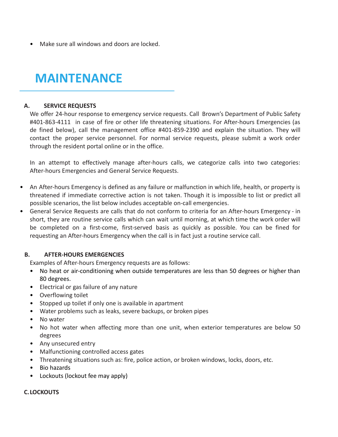• Make sure all windows and doors are locked.

# <span id="page-17-0"></span>**MAINTENANCE**

# <span id="page-17-1"></span>**A. SERVICE REQUESTS**

We offer 24-hour response to emergency service requests. Call Brown's Department of Public Safety #401-863-4111 in case of fire or other life threatening situations. For After-hours Emergencies (as de fined below), call the management office #401-859-2390 and explain the situation. They will contact the proper service personnel. For normal service requests, please submit a work order through the resident portal online or in the office.

In an attempt to effectively manage after-hours calls, we categorize calls into two categories: After-hours Emergencies and General Service Requests.

- An After-hours Emergency is defined as any failure or malfunction in which life, health, or property is threatened if immediate corrective action is not taken. Though it is impossible to list or predict all possible scenarios, the list below includes acceptable on-call emergencies.
- General Service Requests are calls that do not conform to criteria for an After-hours Emergency in short, they are routine service calls which can wait until morning, at which time the work order will be completed on a first-come, first-served basis as quickly as possible. You can be fined for requesting an After-hours Emergency when the call is in fact just a routine service call.

# <span id="page-17-2"></span>**B. AFTER-HOURS EMERGENCIES**

Examples of After-hours Emergency requests are as follows:

- No heat or air-conditioning when outside temperatures are less than 50 degrees or higher than 80 degrees.
- Electrical or gas failure of any nature
- Overflowing toilet
- Stopped up toilet if only one is available in apartment
- Water problems such as leaks, severe backups, or broken pipes
- No water
- No hot water when affecting more than one unit, when exterior temperatures are below 50 degrees
- Any unsecured entry
- Malfunctioning controlled access gates
- Threatening situations such as: fire, police action, or broken windows, locks, doors, etc.
- Bio hazards
- Lockouts (lockout fee may apply)

#### <span id="page-17-3"></span>**C.LOCKOUTS**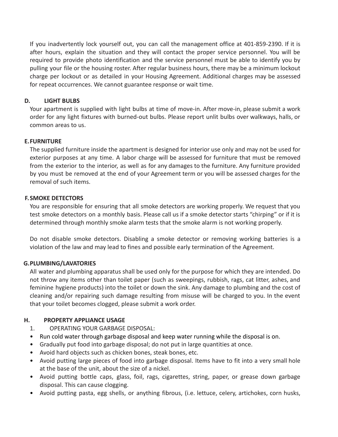If you inadvertently lock yourself out, you can call the management office at 401-859-2390. If it is after hours, explain the situation and they will contact the proper service personnel. You will be required to provide photo identification and the service personnel must be able to identify you by pulling your file or the housing roster. After regular business hours, there may be a minimum lockout charge per lockout or as detailed in your Housing Agreement. Additional charges may be assessed for repeat occurrences. We cannot guarantee response or wait time.

# <span id="page-18-0"></span>**D. LIGHT BULBS**

Your apartment is supplied with light bulbs at time of move-in. After move-in, please submit a work order for any light fixtures with burned-out bulbs. Please report unlit bulbs over walkways, halls, or common areas to us.

# <span id="page-18-1"></span>**E.FURNITURE**

The supplied furniture inside the apartment is designed for interior use only and may not be used for exterior purposes at any time. A labor charge will be assessed for furniture that must be removed from the exterior to the interior, as well as for any damages to the furniture. Any furniture provided by you must be removed at the end of your Agreement term or you will be assessed charges for the removal of such items.

# <span id="page-18-2"></span>**F.SMOKE DETECTORS**

You are responsible for ensuring that all smoke detectors are working properly. We request that you test smoke detectors on a monthly basis. Please call us if a smoke detector starts "chirping" or if it is determined through monthly smoke alarm tests that the smoke alarm is not working properly.

Do not disable smoke detectors. Disabling a smoke detector or removing working batteries is a violation of the law and may lead to fines and possible early termination of the Agreement.

# <span id="page-18-3"></span>**G.PLUMBING/LAVATORIES**

All water and plumbing apparatus shall be used only for the purpose for which they are intended. Do not throw any items other than toilet paper (such as sweepings, rubbish, rags, cat litter, ashes, and feminine hygiene products) into the toilet or down the sink. Any damage to plumbing and the cost of cleaning and/or repairing such damage resulting from misuse will be charged to you. In the event that your toilet becomes clogged, please submit a work order.

# <span id="page-18-4"></span>**H. PROPERTY APPLIANCE USAGE**

- 1. OPERATING YOUR GARBAGE DISPOSAL:
- Run cold water through garbage disposal and keep water running while the disposal is on.
- Gradually put food into garbage disposal; do not put in large quantities at once.
- Avoid hard objects such as chicken bones, steak bones, etc.
- Avoid putting large pieces of food into garbage disposal. Items have to fit into a very small hole at the base of the unit, about the size of a nickel.
- Avoid putting bottle caps, glass, foil, rags, cigarettes, string, paper, or grease down garbage disposal. This can cause clogging.
- Avoid putting pasta, egg shells, or anything fibrous, (i.e. lettuce, celery, artichokes, corn husks,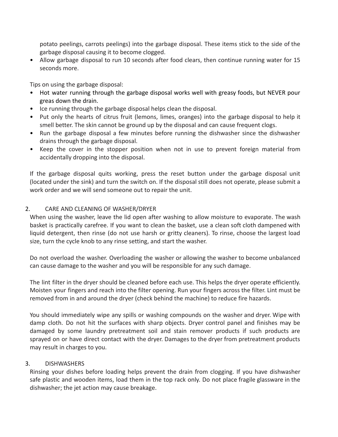potato peelings, carrots peelings) into the garbage disposal. These items stick to the side of the garbage disposal causing it to become clogged.

• Allow garbage disposal to run 10 seconds after food clears, then continue running water for 15 seconds more.

Tips on using the garbage disposal:

- Hot water running through the garbage disposal works well with greasy foods, but NEVER pour greas down the drain.
- Ice running through the garbage disposal helps clean the disposal.
- Put only the hearts of citrus fruit (lemons, limes, oranges) into the garbage disposal to help it smell better. The skin cannot be ground up by the disposal and can cause frequent clogs.
- Run the garbage disposal a few minutes before running the dishwasher since the dishwasher drains through the garbage disposal.
- Keep the cover in the stopper position when not in use to prevent foreign material from accidentally dropping into the disposal.

If the garbage disposal quits working, press the reset button under the garbage disposal unit (located under the sink) and turn the switch on. If the disposal still does not operate, please submit a work order and we will send someone out to repair the unit.

# 2. CARE AND CLEANING OF WASHER/DRYER

When using the washer, leave the lid open after washing to allow moisture to evaporate. The wash basket is practically carefree. If you want to clean the basket, use a clean soft cloth dampened with liquid detergent, then rinse (do not use harsh or gritty cleaners). To rinse, choose the largest load size, turn the cycle knob to any rinse setting, and start the washer.

Do not overload the washer. Overloading the washer or allowing the washer to become unbalanced can cause damage to the washer and you will be responsible for any such damage.

The lint filter in the dryer should be cleaned before each use. This helps the dryer operate efficiently. Moisten your fingers and reach into the filter opening. Run your fingers across the filter. Lint must be removed from in and around the dryer (check behind the machine) to reduce fire hazards.

You should immediately wipe any spills or washing compounds on the washer and dryer. Wipe with damp cloth. Do not hit the surfaces with sharp objects. Dryer control panel and finishes may be damaged by some laundry pretreatment soil and stain remover products if such products are sprayed on or have direct contact with the dryer. Damages to the dryer from pretreatment products may result in charges to you.

#### 3. DISHWASHERS

Rinsing your dishes before loading helps prevent the drain from clogging. If you have dishwasher safe plastic and wooden items, load them in the top rack only. Do not place fragile glassware in the dishwasher; the jet action may cause breakage.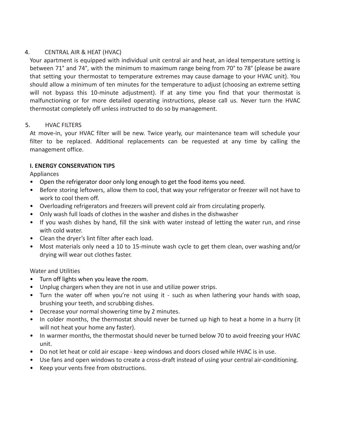# 4. CENTRAL AIR & HEAT (HVAC)

Your apartment is equipped with individual unit central air and heat, an ideal temperature setting is between 71° and 74°, with the minimum to maximum range being from 70° to 78° (please be aware that setting your thermostat to temperature extremes may cause damage to your HVAC unit). You should allow a minimum of ten minutes for the temperature to adjust (choosing an extreme setting will not bypass this 10-minute adjustment). If at any time you find that your thermostat is malfunctioning or for more detailed operating instructions, please call us. Never turn the HVAC thermostat completely off unless instructed to do so by management.

# 5. HVAC FILTERS

At move-in, your HVAC filter will be new. Twice yearly, our maintenance team will schedule your filter to be replaced. Additional replacements can be requested at any time by calling the management office.

# <span id="page-20-0"></span>**I. ENERGY CONSERVATION TIPS**

Appliances

- Open the refrigerator door only long enough to get the food items you need.
- Before storing leftovers, allow them to cool, that way your refrigerator or freezer will not have to work to cool them off.
- Overloading refrigerators and freezers will prevent cold air from circulating properly.
- Only wash full loads of clothes in the washer and dishes in the dishwasher
- If you wash dishes by hand, fill the sink with water instead of letting the water run, and rinse with cold water.
- Clean the dryer's lint filter after each load.
- Most materials only need a 10 to 15-minute wash cycle to get them clean, over washing and/or drying will wear out clothes faster.

Water and Utilities

- Turn off lights when you leave the room.
- Unplug chargers when they are not in use and utilize power strips.
- Turn the water off when you're not using it such as when lathering your hands with soap, brushing your teeth, and scrubbing dishes.
- Decrease your normal showering time by 2 minutes.
- In colder months, the thermostat should never be turned up high to heat a home in a hurry (it will not heat your home any faster).
- In warmer months, the thermostat should never be turned below 70 to avoid freezing your HVAC unit.
- Do not let heat or cold air escape keep windows and doors closed while HVAC is in use.
- Use fans and open windows to create a cross-draft instead of using your central air-conditioning.
- Keep your vents free from obstructions.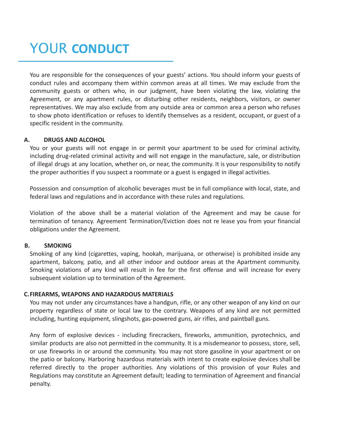# YOUR **CONDUCT**

You are responsible for the consequences of your guests' actions. You should inform your guests of conduct rules and accompany them within common areas at all times. We may exclude from the community guests or others who, in our judgment, have been violating the law, violating the Agreement, or any apartment rules, or disturbing other residents, neighbors, visitors, or owner representatives. We may also exclude from any outside area or common area a person who refuses to show photo identification or refuses to identify themselves as a resident, occupant, or guest of a specific resident in the community.

# <span id="page-21-0"></span>**A. DRUGS AND ALCOHOL**

You or your guests will not engage in or permit your apartment to be used for criminal activity, including drug-related criminal activity and will not engage in the manufacture, sale, or distribution of illegal drugs at any location, whether on, or near, the community. It is your responsibility to notify the proper authorities if you suspect a roommate or a guest is engaged in illegal activities.

Possession and consumption of alcoholic beverages must be in full compliance with local, state, and federal laws and regulations and in accordance with these rules and regulations.

Violation of the above shall be a material violation of the Agreement and may be cause for termination of tenancy. Agreement Termination/Eviction does not re lease you from your financial obligations under the Agreement.

# <span id="page-21-1"></span>**B. SMOKING**

Smoking of any kind (cigarettes, vaping, hookah, marijuana, or otherwise) is prohibited inside any apartment, balcony, patio, and all other indoor and outdoor areas at the Apartment community. Smoking violations of any kind will result in fee for the first offense and will increase for every subsequent violation up to termination of the Agreement.

#### <span id="page-21-2"></span>**C.FIREARMS, WEAPONS AND HAZARDOUS MATERIALS**

You may not under any circumstances have a handgun, rifle, or any other weapon of any kind on our property regardless of state or local law to the contrary. Weapons of any kind are not permitted including, hunting equipment, slingshots, gas-powered guns, air rifles, and paintball guns.

Any form of explosive devices - including firecrackers, fireworks, ammunition, pyrotechnics, and similar products are also not permitted in the community. It is a misdemeanor to possess, store, sell, or use fireworks in or around the community. You may not store gasoline in your apartment or on the patio or balcony. Harboring hazardous materials with intent to create explosive devices shall be referred directly to the proper authorities. Any violations of this provision of your Rules and Regulations may constitute an Agreement default; leading to termination of Agreement and financial penalty.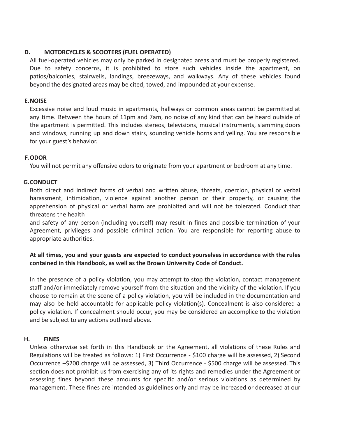# <span id="page-22-0"></span>**D. MOTORCYCLES & SCOOTERS (FUEL OPERATED)**

All fuel-operated vehicles may only be parked in designated areas and must be properly registered. Due to safety concerns, it is prohibited to store such vehicles inside the apartment, on patios/balconies, stairwells, landings, breezeways, and walkways. Any of these vehicles found beyond the designated areas may be cited, towed, and impounded at your expense.

# <span id="page-22-1"></span>**E.NOISE**

Excessive noise and loud music in apartments, hallways or common areas cannot be permitted at any time. Between the hours of 11pm and 7am, no noise of any kind that can be heard outside of the apartment is permitted. This includes stereos, televisions, musical instruments, slamming doors and windows, running up and down stairs, sounding vehicle horns and yelling. You are responsible for your guest's behavior.

# <span id="page-22-2"></span>**F.ODOR**

You will not permit any offensive odors to originate from your apartment or bedroom at any time.

# <span id="page-22-3"></span>**G.CONDUCT**

Both direct and indirect forms of verbal and written abuse, threats, coercion, physical or verbal harassment, intimidation, violence against another person or their property, or causing the apprehension of physical or verbal harm are prohibited and will not be tolerated. Conduct that threatens the health

and safety of any person (including yourself) may result in fines and possible termination of your Agreement, privileges and possible criminal action. You are responsible for reporting abuse to appropriate authorities.

# **At all times, you and your guests are expected to conduct yourselves in accordance with the rules contained in this Handbook, as well as the Brown University Code of Conduct.**

In the presence of a policy violation, you may attempt to stop the violation, contact management staff and/or immediately remove yourself from the situation and the vicinity of the violation. If you choose to remain at the scene of a policy violation, you will be included in the documentation and may also be held accountable for applicable policy violation(s). Concealment is also considered a policy violation. If concealment should occur, you may be considered an accomplice to the violation and be subject to any actions outlined above.

#### <span id="page-22-4"></span>**H. FINES**

Unless otherwise set forth in this Handbook or the Agreement, all violations of these Rules and Regulations will be treated as follows: 1) First Occurrence - \$100 charge will be assessed, 2) Second Occurrence –\$200 charge will be assessed, 3) Third Occurrence - \$500 charge will be assessed. This section does not prohibit us from exercising any of its rights and remedies under the Agreement or assessing fines beyond these amounts for specific and/or serious violations as determined by management. These fines are intended as guidelines only and may be increased or decreased at our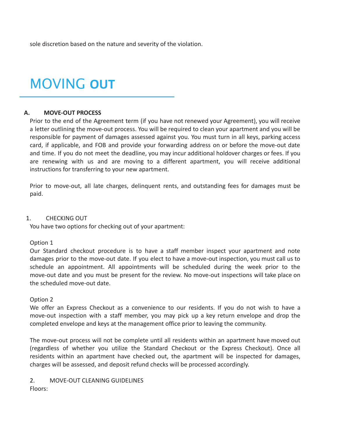sole discretion based on the nature and severity of the violation.

# MOVING **OUT**

# <span id="page-23-0"></span>**A. MOVE-OUT PROCESS**

Prior to the end of the Agreement term (if you have not renewed your Agreement), you will receive a letter outlining the move-out process. You will be required to clean your apartment and you will be responsible for payment of damages assessed against you. You must turn in all keys, parking access card, if applicable, and FOB and provide your forwarding address on or before the move-out date and time. If you do not meet the deadline, you may incur additional holdover charges or fees. If you are renewing with us and are moving to a different apartment, you will receive additional instructions for transferring to your new apartment.

Prior to move-out, all late charges, delinquent rents, and outstanding fees for damages must be paid.

#### 1. CHECKING OUT

You have two options for checking out of your apartment:

#### Option 1

Our Standard checkout procedure is to have a staff member inspect your apartment and note damages prior to the move-out date. If you elect to have a move-out inspection, you must call us to schedule an appointment. All appointments will be scheduled during the week prior to the move-out date and you must be present for the review. No move-out inspections will take place on the scheduled move-out date.

#### Option 2

We offer an Express Checkout as a convenience to our residents. If you do not wish to have a move-out inspection with a staff member, you may pick up a key return envelope and drop the completed envelope and keys at the management office prior to leaving the community.

The move-out process will not be complete until all residents within an apartment have moved out (regardless of whether you utilize the Standard Checkout or the Express Checkout). Once all residents within an apartment have checked out, the apartment will be inspected for damages, charges will be assessed, and deposit refund checks will be processed accordingly.

2. MOVE-OUT CLEANING GUIDELINES Floors: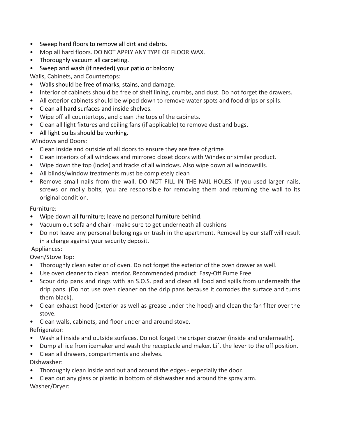- Sweep hard floors to remove all dirt and debris.
- Mop all hard floors. DO NOT APPLY ANY TYPE OF FLOOR WAX.
- Thoroughly vacuum all carpeting.
- Sweep and wash (if needed) your patio or balcony

Walls, Cabinets, and Countertops:

- Walls should be free of marks, stains, and damage.
- Interior of cabinets should be free of shelf lining, crumbs, and dust. Do not forget the drawers.
- All exterior cabinets should be wiped down to remove water spots and food drips or spills.
- Clean all hard surfaces and inside shelves.
- Wipe off all countertops, and clean the tops of the cabinets.
- Clean all light fixtures and ceiling fans (if applicable) to remove dust and bugs.
- All light bulbs should be working.

Windows and Doors:

- Clean inside and outside of all doors to ensure they are free of grime
- Clean interiors of all windows and mirrored closet doors with Windex or similar product.
- Wipe down the top (locks) and tracks of all windows. Also wipe down all windowsills.
- All blinds/window treatments must be completely clean
- Remove small nails from the wall. DO NOT FILL IN THE NAIL HOLES. If you used larger nails, screws or molly bolts, you are responsible for removing them and returning the wall to its original condition.

Furniture:

- Wipe down all furniture; leave no personal furniture behind.
- Vacuum out sofa and chair make sure to get underneath all cushions
- Do not leave any personal belongings or trash in the apartment. Removal by our staff will result in a charge against your security deposit.

# Appliances:

Oven/Stove Top:

- Thoroughly clean exterior of oven. Do not forget the exterior of the oven drawer as well.
- Use oven cleaner to clean interior. Recommended product: Easy-Off Fume Free
- Scour drip pans and rings with an S.O.S. pad and clean all food and spills from underneath the drip pans. (Do not use oven cleaner on the drip pans because it corrodes the surface and turns them black).
- Clean exhaust hood (exterior as well as grease under the hood) and clean the fan filter over the stove.
- Clean walls, cabinets, and floor under and around stove. Refrigerator:
- Wash all inside and outside surfaces. Do not forget the crisper drawer (inside and underneath).
- Dump all ice from icemaker and wash the receptacle and maker. Lift the lever to the off position.
- Clean all drawers, compartments and shelves.

Dishwasher:

- Thoroughly clean inside and out and around the edges especially the door.
- Clean out any glass or plastic in bottom of dishwasher and around the spray arm. Washer/Dryer: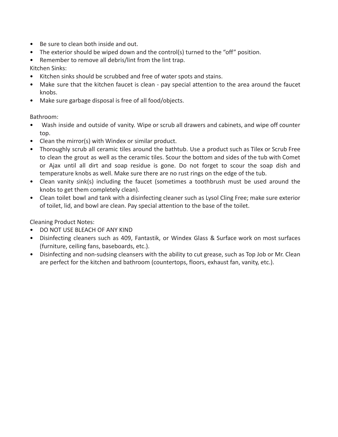- Be sure to clean both inside and out.
- The exterior should be wiped down and the control(s) turned to the "off" position.
- Remember to remove all debris/lint from the lint trap.

Kitchen Sinks:

- Kitchen sinks should be scrubbed and free of water spots and stains.
- Make sure that the kitchen faucet is clean pay special attention to the area around the faucet knobs.
- Make sure garbage disposal is free of all food/objects.

Bathroom:

- Wash inside and outside of vanity. Wipe or scrub all drawers and cabinets, and wipe off counter top.
- Clean the mirror(s) with Windex or similar product.
- Thoroughly scrub all ceramic tiles around the bathtub. Use a product such as Tilex or Scrub Free to clean the grout as well as the ceramic tiles. Scour the bottom and sides of the tub with Comet or Ajax until all dirt and soap residue is gone. Do not forget to scour the soap dish and temperature knobs as well. Make sure there are no rust rings on the edge of the tub.
- Clean vanity sink(s) including the faucet (sometimes a toothbrush must be used around the knobs to get them completely clean).
- Clean toilet bowl and tank with a disinfecting cleaner such as Lysol Cling Free; make sure exterior of toilet, lid, and bowl are clean. Pay special attention to the base of the toilet.

Cleaning Product Notes:

- DO NOT USE BLEACH OF ANY KIND
- Disinfecting cleaners such as 409, Fantastik, or Windex Glass & Surface work on most surfaces (furniture, ceiling fans, baseboards, etc.).
- Disinfecting and non-sudsing cleansers with the ability to cut grease, such as Top Job or Mr. Clean are perfect for the kitchen and bathroom (countertops, floors, exhaust fan, vanity, etc.).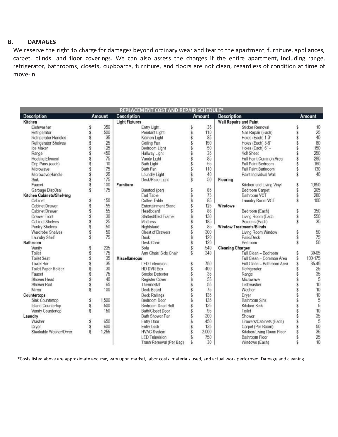#### <span id="page-26-0"></span>**B. DAMAGES**

We reserve the right to charge for damages beyond ordinary wear and tear to the apartment, furniture, appliances, carpet, blinds, and floor coverings. We can also assess the charges if the entire apartment, including range, refrigerator, bathrooms, closets, cupboards, furniture, and floors are not clean, regardless of condition at time of move-in.

| REPLACEMENT COST AND REPAIR SCHEDULE* |        |       |                       |                            |               |       |                               |                                 |               |         |  |
|---------------------------------------|--------|-------|-----------------------|----------------------------|---------------|-------|-------------------------------|---------------------------------|---------------|---------|--|
| <b>Description</b>                    | Amount |       | <b>Description</b>    |                            | <b>Amount</b> |       | <b>Description</b>            |                                 | <b>Amount</b> |         |  |
| Kitchen                               |        |       | <b>Light Fixtures</b> |                            |               |       | <b>Wall Repairs and Paint</b> |                                 |               |         |  |
| Dishwasher                            |        | 350   |                       | Entry Light                |               | 35    |                               | <b>Sticker Removal</b>          |               | 10      |  |
| Refrigerator                          | \$     | 500   |                       | Pendant Light              | \$            | 110   |                               | Nail Repair (Each)              | s             | 25      |  |
| Refrigerator Handles                  | \$     | 35    |                       | Kitchen Light              | \$            | 85    |                               | Holes (Each) 1-3"               | \$            | 40      |  |
| Refrigerator Shelves                  | \$     | 25    |                       | Ceiling Fan                | \$            | 150   |                               | Holes (Each) 3-6"               | S             | 80      |  |
| Ice Maker                             |        | 125   |                       | Bedroom Light              | \$            | 50    |                               | Holes (Each) 6" +               | S             | 150     |  |
| Range                                 |        | 450   |                       | Hallway Light              | \$            | 35    |                               | 4x8 Sheet                       | \$            | 250     |  |
| <b>Heating Element</b>                |        | 75    |                       | Vanity Light               | \$            | 85    |                               | Full Paint Common Area          | \$            | 280     |  |
| Drip Pans (each)                      |        | 10    |                       | Bath Light                 | \$            | 55    |                               | Full Paint Bedroom              | S             | 160     |  |
| Microwave                             |        | 175   |                       | <b>Bath Fan</b>            | \$            | 110   |                               | Full Paint Bathroom             | Ŝ             | 130     |  |
| Microwave Handle                      |        | 25    |                       | Laundry Light              | \$            | 40    |                               | Paint Individual Wall           | s             | 40      |  |
| Sink                                  | \$     | 175   |                       | Deck/Patio Light           | \$            | 50    | Flooring                      |                                 |               |         |  |
| Faucet                                | \$     | 100   | Furniture             |                            |               |       |                               | Kitchen and Living Vinyl        | s             | 1,850   |  |
| Garbage Disp0sal                      | \$     | 175   |                       | Barstool (per)             | \$            | 85    |                               | <b>Bedroom Carpet</b>           | s             | 265     |  |
| Kitchen Cabinets/Shelving             |        |       |                       | End Table                  | \$            | 75    |                               | <b>Bathroom VCT</b>             | S             | 280     |  |
| Cabinet                               | \$     | 150   |                       | Coffee Table               | \$            | 85    |                               | Laundry Room VCT                | s             | 100     |  |
| <b>Cabinet Drawer</b>                 | \$     | 55    |                       | <b>Entertainment Stand</b> | \$            | 125   | <b>Windows</b>                |                                 |               |         |  |
| <b>Cabinet Drawer</b>                 |        | 55    |                       | Headboard                  | \$            | 86    |                               | Bedroom (Each)                  | s             | 350     |  |
| <b>Drawer Front</b>                   | \$     | 30    |                       | Slatbed/Bed Frame          | \$            | 130   |                               | Living Room (Each               | s             | 550     |  |
| <b>Cabinet Shelves</b>                |        | 25    |                       | Mattress                   | \$            | 185   |                               | Screens (Each)                  | Ŝ             | 35      |  |
| Pantry Shelves                        |        | 50    |                       | Nightstand                 |               | 85    |                               | <b>Window Treatments/Blinds</b> |               |         |  |
| Wardrobe Shelves                      |        | 50    |                       | <b>Chest of Drawers</b>    | \$            | 300   |                               | Living Room Window              | s             | 50      |  |
| Laundry Shelf                         | Ś      | 75    |                       | Desk                       | \$            | 120   |                               | Patio/Deck                      | \$            | 75      |  |
| Bathroom                              |        |       |                       | Desk Chair                 | Ś.            | 120   |                               | Bedroom                         | s             | 50      |  |
| Vanity                                | \$     | 225   |                       | Sofa                       |               | 540   | <b>Cleaning Charges</b>       |                                 |               |         |  |
| Toilet                                | \$     | 175   |                       | Arm Chair/ Side Chair      | \$            | 340   |                               | Full Clean - Bedroom            | \$            | 30-65   |  |
| <b>Toilet Seat</b>                    |        | 35    | <b>Miscellaneous</b>  |                            |               |       |                               | Full Clean - Common Area        | \$            | 100-175 |  |
| <b>Towel Bar</b>                      |        | 35    |                       | <b>LED Television</b>      | \$            | 750   |                               | Full Clean - Bathroom Area      | s             | 35.45   |  |
|                                       |        | 30    |                       | <b>HD DVR Box</b>          | \$            | 400   |                               |                                 | s             | 25      |  |
| <b>Toilet Paper Holder</b><br>Faucet  |        | 75    |                       | Smoke Detector             |               | 35    |                               | Refrigerator                    | s             | 35      |  |
| Shower Head                           |        | 40    |                       |                            | \$<br>\$      | 55    |                               | Range                           | s             | 5       |  |
|                                       |        | 65    |                       | <b>Register Cover</b>      |               | 55    |                               | Microwave                       |               | 10      |  |
| Shower Rod                            | \$     |       |                       | Thermostat                 |               | 75    |                               | Dishwasher                      |               | 10      |  |
| Mirror                                | \$     | 100   |                       | Deck Board                 | \$            |       |                               | Washer                          | Ŝ             |         |  |
| Countertops                           |        |       |                       | <b>Deck Railings</b>       | \$            | 135   |                               | Dryer                           | ŝ             | 10      |  |
| Sink Countertop                       | \$     | 1,500 |                       | <b>Bedroom Door</b>        |               | 135   |                               | <b>Bathroom Sink</b>            | s             | 5       |  |
| <b>Island Countertop</b>              | \$     | 500   |                       | Bedroom Dead Bolt          | \$            | 125   |                               | Kitchen Sink                    | S             | 5       |  |
| Vanity Countertop                     | \$     | 150   |                       | Bath/Closet Door           | \$            | 95    |                               | Toilet                          | S             | 10      |  |
| Laundry                               |        |       |                       | Bath Shower Pan            |               | 300   |                               | Shower                          | Ś             | 35      |  |
| Washer                                | \$     | 650   |                       | <b>Entry Door</b>          |               | 450   |                               | Drawers/Cabinets (Each)         | S             | 5       |  |
| Dryer                                 | \$     | 600   |                       | <b>Entry Lock</b>          | \$            | 125   |                               | Carpet (Per Room)               | \$            | 50      |  |
| Stackable Washer/Dryer                | \$     | 1,255 |                       | <b>HVAC System</b>         | \$            | 2,000 |                               | Kitchen/Living Room Floor       | S             | 35      |  |
|                                       |        |       |                       | <b>LED Television</b>      |               | 750   |                               | <b>Bathroom Floor</b>           | Ŝ             | 25      |  |
|                                       |        |       |                       | Trash Removal (Per Bag)    | \$            | 30    |                               | Windows (Each)                  | s             | 10      |  |

\*Costs listed above are approximate and may vary upon market, labor costs, materials used, and actual work performed. Damage and cleaning